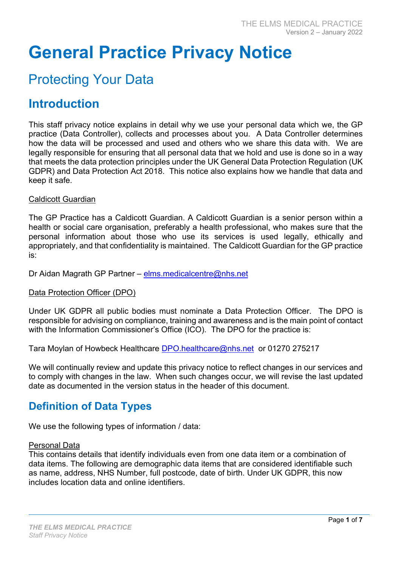# General Practice Privacy Notice

## Protecting Your Data

## Introduction

This staff privacy notice explains in detail why we use your personal data which we, the GP practice (Data Controller), collects and processes about you. A Data Controller determines how the data will be processed and used and others who we share this data with. We are legally responsible for ensuring that all personal data that we hold and use is done so in a way that meets the data protection principles under the UK General Data Protection Regulation (UK GDPR) and Data Protection Act 2018. This notice also explains how we handle that data and keep it safe.

#### Caldicott Guardian

The GP Practice has a Caldicott Guardian. A Caldicott Guardian is a senior person within a health or social care organisation, preferably a health professional, who makes sure that the personal information about those who use its services is used legally, ethically and appropriately, and that confidentiality is maintained. The Caldicott Guardian for the GP practice is:

Dr Aidan Magrath GP Partner – elms.medicalcentre@nhs.net

#### Data Protection Officer (DPO)

Under UK GDPR all public bodies must nominate a Data Protection Officer. The DPO is responsible for advising on compliance, training and awareness and is the main point of contact with the Information Commissioner's Office (ICO). The DPO for the practice is:

Tara Moylan of Howbeck Healthcare DPO.healthcare@nhs.net or 01270 275217

We will continually review and update this privacy notice to reflect changes in our services and to comply with changes in the law. When such changes occur, we will revise the last updated date as documented in the version status in the header of this document.

## Definition of Data Types

We use the following types of information / data:

#### Personal Data

This contains details that identify individuals even from one data item or a combination of data items. The following are demographic data items that are considered identifiable such as name, address, NHS Number, full postcode, date of birth. Under UK GDPR, this now includes location data and online identifiers.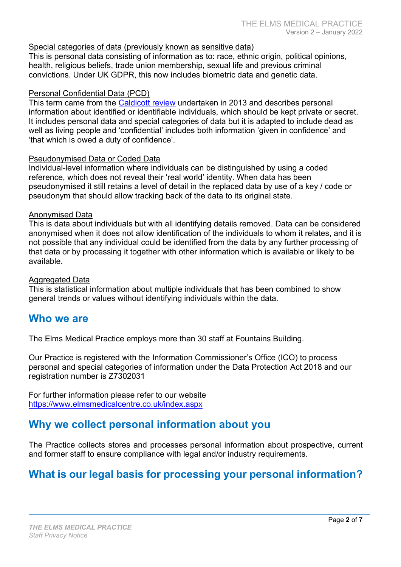#### Special categories of data (previously known as sensitive data)

This is personal data consisting of information as to: race, ethnic origin, political opinions, health, religious beliefs, trade union membership, sexual life and previous criminal convictions. Under UK GDPR, this now includes biometric data and genetic data.

#### Personal Confidential Data (PCD)

This term came from the Caldicott review undertaken in 2013 and describes personal information about identified or identifiable individuals, which should be kept private or secret. It includes personal data and special categories of data but it is adapted to include dead as well as living people and 'confidential' includes both information 'given in confidence' and 'that which is owed a duty of confidence'.

#### Pseudonymised Data or Coded Data

Individual-level information where individuals can be distinguished by using a coded reference, which does not reveal their 'real world' identity. When data has been pseudonymised it still retains a level of detail in the replaced data by use of a key / code or pseudonym that should allow tracking back of the data to its original state.

#### Anonymised Data

This is data about individuals but with all identifying details removed. Data can be considered anonymised when it does not allow identification of the individuals to whom it relates, and it is not possible that any individual could be identified from the data by any further processing of that data or by processing it together with other information which is available or likely to be available.

#### Aggregated Data

This is statistical information about multiple individuals that has been combined to show general trends or values without identifying individuals within the data.

#### Who we are

The Elms Medical Practice employs more than 30 staff at Fountains Building.

Our Practice is registered with the Information Commissioner's Office (ICO) to process personal and special categories of information under the Data Protection Act 2018 and our registration number is Z7302031

For further information please refer to our website https://www.elmsmedicalcentre.co.uk/index.aspx

## Why we collect personal information about you

The Practice collects stores and processes personal information about prospective, current and former staff to ensure compliance with legal and/or industry requirements.

## What is our legal basis for processing your personal information?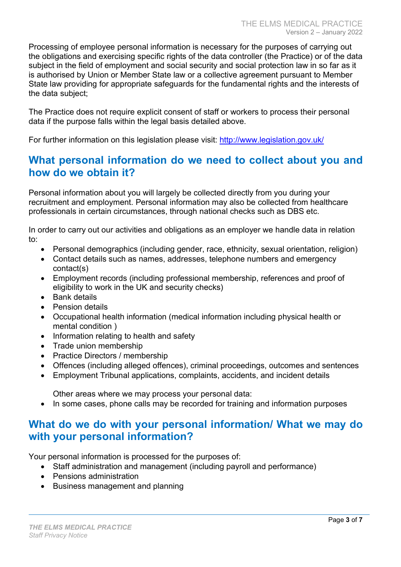Processing of employee personal information is necessary for the purposes of carrying out the obligations and exercising specific rights of the data controller (the Practice) or of the data subject in the field of employment and social security and social protection law in so far as it is authorised by Union or Member State law or a collective agreement pursuant to Member State law providing for appropriate safeguards for the fundamental rights and the interests of the data subject;

The Practice does not require explicit consent of staff or workers to process their personal data if the purpose falls within the legal basis detailed above.

For further information on this legislation please visit: http://www.legislation.gov.uk/

### What personal information do we need to collect about you and how do we obtain it?

Personal information about you will largely be collected directly from you during your recruitment and employment. Personal information may also be collected from healthcare professionals in certain circumstances, through national checks such as DBS etc.

In order to carry out our activities and obligations as an employer we handle data in relation to:

- Personal demographics (including gender, race, ethnicity, sexual orientation, religion)
- Contact details such as names, addresses, telephone numbers and emergency contact(s)
- Employment records (including professional membership, references and proof of eligibility to work in the UK and security checks)
- Bank details
- Pension details
- Occupational health information (medical information including physical health or mental condition )
- Information relating to health and safety
- Trade union membership
- Practice Directors / membership
- Offences (including alleged offences), criminal proceedings, outcomes and sentences
- Employment Tribunal applications, complaints, accidents, and incident details

Other areas where we may process your personal data:

• In some cases, phone calls may be recorded for training and information purposes

## What do we do with your personal information/ What we may do with your personal information?

Your personal information is processed for the purposes of:

- Staff administration and management (including payroll and performance)
- Pensions administration
- Business management and planning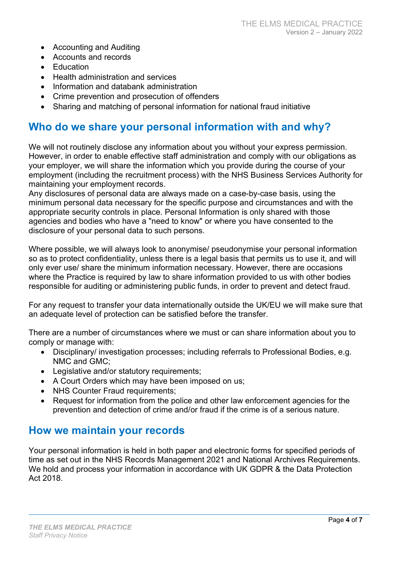- Accounting and Auditing
- Accounts and records
- **•** Education
- Health administration and services
- Information and databank administration
- Crime prevention and prosecution of offenders
- Sharing and matching of personal information for national fraud initiative

#### Who do we share your personal information with and why?

We will not routinely disclose any information about you without your express permission. However, in order to enable effective staff administration and comply with our obligations as your employer, we will share the information which you provide during the course of your employment (including the recruitment process) with the NHS Business Services Authority for maintaining your employment records.

Any disclosures of personal data are always made on a case-by-case basis, using the minimum personal data necessary for the specific purpose and circumstances and with the appropriate security controls in place. Personal Information is only shared with those agencies and bodies who have a "need to know" or where you have consented to the disclosure of your personal data to such persons.

Where possible, we will always look to anonymise/ pseudonymise your personal information so as to protect confidentiality, unless there is a legal basis that permits us to use it, and will only ever use/ share the minimum information necessary. However, there are occasions where the Practice is required by law to share information provided to us with other bodies responsible for auditing or administering public funds, in order to prevent and detect fraud.

For any request to transfer your data internationally outside the UK/EU we will make sure that an adequate level of protection can be satisfied before the transfer.

There are a number of circumstances where we must or can share information about you to comply or manage with:

- Disciplinary/ investigation processes; including referrals to Professional Bodies, e.g. NMC and GMC;
- Legislative and/or statutory requirements;
- A Court Orders which may have been imposed on us;
- NHS Counter Fraud requirements;
- Request for information from the police and other law enforcement agencies for the prevention and detection of crime and/or fraud if the crime is of a serious nature.

## How we maintain your records

Your personal information is held in both paper and electronic forms for specified periods of time as set out in the NHS Records Management 2021 and National Archives Requirements. We hold and process your information in accordance with UK GDPR & the Data Protection Act 2018.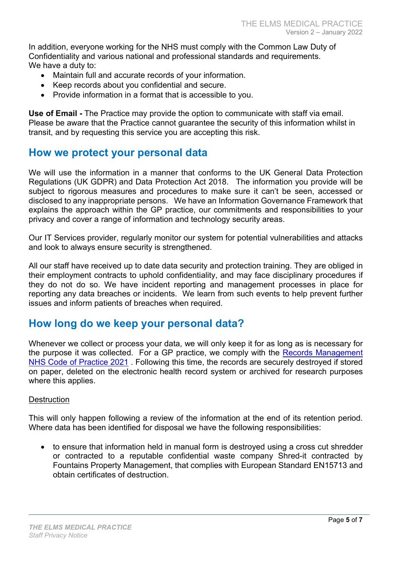In addition, everyone working for the NHS must comply with the Common Law Duty of Confidentiality and various national and professional standards and requirements. We have a duty to:

- Maintain full and accurate records of your information.
- Keep records about you confidential and secure.
- Provide information in a format that is accessible to you.

Use of Email - The Practice may provide the option to communicate with staff via email. Please be aware that the Practice cannot guarantee the security of this information whilst in transit, and by requesting this service you are accepting this risk.

#### How we protect your personal data

We will use the information in a manner that conforms to the UK General Data Protection Regulations (UK GDPR) and Data Protection Act 2018. The information you provide will be subject to rigorous measures and procedures to make sure it can't be seen, accessed or disclosed to any inappropriate persons. We have an Information Governance Framework that explains the approach within the GP practice, our commitments and responsibilities to your privacy and cover a range of information and technology security areas.

Our IT Services provider, regularly monitor our system for potential vulnerabilities and attacks and look to always ensure security is strengthened.

All our staff have received up to date data security and protection training. They are obliged in their employment contracts to uphold confidentiality, and may face disciplinary procedures if they do not do so. We have incident reporting and management processes in place for reporting any data breaches or incidents. We learn from such events to help prevent further issues and inform patients of breaches when required.

#### How long do we keep your personal data?

Whenever we collect or process your data, we will only keep it for as long as is necessary for the purpose it was collected. For a GP practice, we comply with the Records Management NHS Code of Practice 2021 . Following this time, the records are securely destroyed if stored on paper, deleted on the electronic health record system or archived for research purposes where this applies.

#### **Destruction**

This will only happen following a review of the information at the end of its retention period. Where data has been identified for disposal we have the following responsibilities:

• to ensure that information held in manual form is destroved using a cross cut shredder or contracted to a reputable confidential waste company Shred-it contracted by Fountains Property Management, that complies with European Standard EN15713 and obtain certificates of destruction.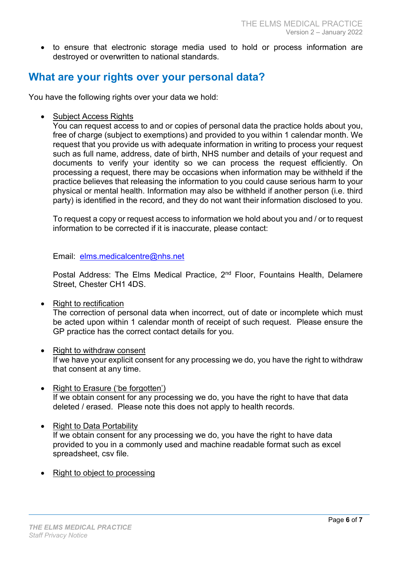• to ensure that electronic storage media used to hold or process information are destroyed or overwritten to national standards.

## What are your rights over your personal data?

You have the following rights over your data we hold:

• Subject Access Rights

You can request access to and or copies of personal data the practice holds about you, free of charge (subject to exemptions) and provided to you within 1 calendar month. We request that you provide us with adequate information in writing to process your request such as full name, address, date of birth, NHS number and details of your request and documents to verify your identity so we can process the request efficiently. On processing a request, there may be occasions when information may be withheld if the practice believes that releasing the information to you could cause serious harm to your physical or mental health. Information may also be withheld if another person (i.e. third party) is identified in the record, and they do not want their information disclosed to you.

To request a copy or request access to information we hold about you and / or to request information to be corrected if it is inaccurate, please contact:

Email: elms.medicalcentre@nhs.net

Postal Address: The Elms Medical Practice, 2<sup>nd</sup> Floor, Fountains Health, Delamere Street, Chester CH1 4DS.

Right to rectification

The correction of personal data when incorrect, out of date or incomplete which must be acted upon within 1 calendar month of receipt of such request. Please ensure the GP practice has the correct contact details for you.

- Right to withdraw consent If we have your explicit consent for any processing we do, you have the right to withdraw that consent at any time.
- Right to Erasure ('be forgotten') If we obtain consent for any processing we do, you have the right to have that data deleted / erased. Please note this does not apply to health records.
- Right to Data Portability

If we obtain consent for any processing we do, you have the right to have data provided to you in a commonly used and machine readable format such as excel spreadsheet, csv file.

Right to object to processing